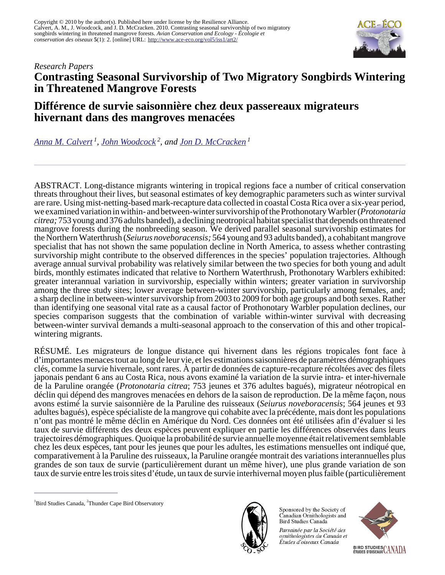

# *Research Papers* **Contrasting Seasonal Survivorship of Two Migratory Songbirds Wintering in Threatened Mangrove Forests**

# **Différence de survie saisonnière chez deux passereaux migrateurs hivernant dans des mangroves menacées**

*[Anna M. Calvert](mailto:anna.calvert@dal.ca)<sup>1</sup> , [John Woodcock](mailto:johntbaywoodcock@hotmail.com)<sup>2</sup>, and [Jon D. McCracken](mailto:jon@bsc-eoc.org)<sup>1</sup>*

ABSTRACT. Long-distance migrants wintering in tropical regions face a number of critical conservation threats throughout their lives, but seasonal estimates of key demographic parameters such as winter survival are rare. Using mist-netting-based mark-recapture data collected in coastal Costa Rica over a six-year period, we examined variation in within- and between-winter survivorship of the Prothonotary Warbler (*Protonotaria citrea;* 753 young and 376 adults banded), a declining neotropical habitat specialist that depends on threatened mangrove forests during the nonbreeding season. We derived parallel seasonal survivorship estimates for the Northern Waterthrush (*Seiurus noveboracensis;* 564 young and 93 adults banded), a cohabitant mangrove specialist that has not shown the same population decline in North America, to assess whether contrasting survivorship might contribute to the observed differences in the species' population trajectories. Although average annual survival probability was relatively similar between the two species for both young and adult birds, monthly estimates indicated that relative to Northern Waterthrush, Prothonotary Warblers exhibited: greater interannual variation in survivorship, especially within winters; greater variation in survivorship among the three study sites; lower average between-winter survivorship, particularly among females, and; a sharp decline in between-winter survivorship from 2003 to 2009 for both age groups and both sexes. Rather than identifying one seasonal vital rate as a causal factor of Prothonotary Warbler population declines, our species comparison suggests that the combination of variable within-winter survival with decreasing between-winter survival demands a multi-seasonal approach to the conservation of this and other tropicalwintering migrants.

RÉSUMÉ. Les migrateurs de longue distance qui hivernent dans les régions tropicales font face à d'importantes menaces tout au long de leur vie, et les estimations saisonnières de paramètres démographiques clés, comme la survie hivernale, sont rares. À partir de données de capture-recapture récoltées avec des filets japonais pendant 6 ans au Costa Rica, nous avons examiné la variation de la survie intra- et inter-hivernale de la Paruline orangée (*Protonotaria citrea*; 753 jeunes et 376 adultes bagués), migrateur néotropical en déclin qui dépend des mangroves menacées en dehors de la saison de reproduction. De la même façon, nous avons estimé la survie saisonnière de la Paruline des ruisseaux (*Seiurus noveboracensis*; 564 jeunes et 93 adultes bagués), espèce spécialiste de la mangrove qui cohabite avec la précédente, mais dont les populations n'ont pas montré le même déclin en Amérique du Nord. Ces données ont été utilisées afin d'évaluer si les taux de survie différents des deux espèces peuvent expliquer en partie les différences observées dans leurs trajectoires démographiques. Quoique la probabilité de survie annuelle moyenne était relativement semblable chez les deux espèces, tant pour les jeunes que pour les adultes, les estimations mensuelles ont indiqué que, comparativement à la Paruline des ruisseaux, la Paruline orangée montrait des variations interannuelles plus grandes de son taux de survie (particulièrement durant un même hiver), une plus grande variation de son taux de survie entre les trois sites d'étude, un taux de survie interhivernal moyen plus faible (particulièrement



Sponsored by the Society of Canadian Ornithologists and Bird Studies Canada

Parrainée par la Société des ornithologistes du Canada et Études d'oiseaux Canada



<sup>&</sup>lt;sup>1</sup>Bird Studies Canada, <sup>2</sup>Thunder Cape Bird Observatory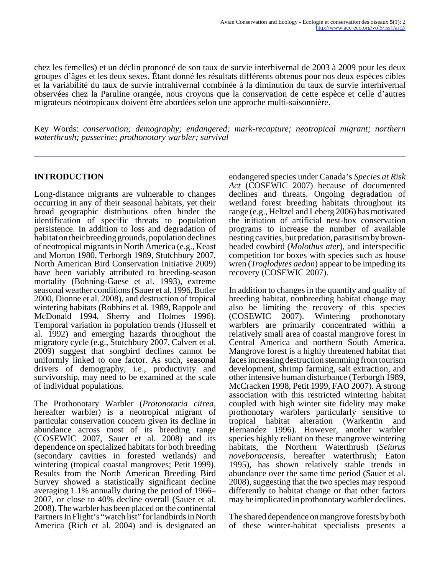chez les femelles) et un déclin prononcé de son taux de survie interhivernal de 2003 à 2009 pour les deux groupes d'âges et les deux sexes. Étant donné les résultats différents obtenus pour nos deux espèces cibles et la variabilité du taux de survie intrahivernal combinée à la diminution du taux de survie interhivernal observées chez la Paruline orangée, nous croyons que la conservation de cette espèce et celle d'autres migrateurs néotropicaux doivent être abordées selon une approche multi-saisonnière.

Key Words: *conservation; demography; endangered; mark-recapture; neotropical migrant; northern waterthrush; passerine; prothonotary warbler; survival*

#### **INTRODUCTION**

Long-distance migrants are vulnerable to changes occurring in any of their seasonal habitats, yet their broad geographic distributions often hinder the identification of specific threats to population persistence. In addition to loss and degradation of habitat on their breeding grounds, population declines of neotropical migrants in North America (e.g., Keast and Morton 1980, Terborgh 1989, Stutchbury 2007, North American Bird Conservation Initiative 2009) have been variably attributed to breeding-season mortality (Bohning-Gaese et al. 1993), extreme seasonal weather conditions (Sauer et al. 1996, Butler 2000, Dionne et al. 2008), and destruction of tropical wintering habitats (Robbins et al. 1989, Rappole and McDonald 1994, Sherry and Holmes 1996). Temporal variation in population trends (Hussell et al. 1992) and emerging hazards throughout the migratory cycle (e.g., Stutchbury 2007, Calvert et al. 2009) suggest that songbird declines cannot be uniformly linked to one factor. As such, seasonal drivers of demography, i.e., productivity and survivorship, may need to be examined at the scale of individual populations.

The Prothonotary Warbler (*Protonotaria citrea,* hereafter warbler) is a neotropical migrant of particular conservation concern given its decline in abundance across most of its breeding range (COSEWIC 2007, Sauer et al. 2008) and its dependence on specialized habitats for both breeding (secondary cavities in forested wetlands) and wintering (tropical coastal mangroves; Petit 1999). Results from the North American Breeding Bird Survey showed a statistically significant decline averaging 1.1% annually during the period of 1966– 2007, or close to 40% decline overall (Sauer et al. 2008). The warbler has been placed on the continental Partners In Flight's "watch list" for landbirds in North America (Rich et al. 2004) and is designated an

endangered species under Canada's *Species at Risk Act* (COSEWIC 2007) because of documented declines and threats. Ongoing degradation of wetland forest breeding habitats throughout its range (e.g., Heltzel and Leberg 2006) has motivated the initiation of artificial nest-box conservation programs to increase the number of available nesting cavities, but predation, parasitism by brownheaded cowbird (*Molothus ater*), and interspecific competition for boxes with species such as house wren (*Troglodytes aedon*) appear to be impeding its recovery (COSEWIC 2007).

In addition to changes in the quantity and quality of breeding habitat, nonbreeding habitat change may also be limiting the recovery of this species (COSEWIC 2007). Wintering prothonotary warblers are primarily concentrated within a relatively small area of coastal mangrove forest in Central America and northern South America. Mangrove forest is a highly threatened habitat that faces increasing destruction stemming from tourism development, shrimp farming, salt extraction, and other intensive human disturbance (Terborgh 1989, McCracken 1998, Petit 1999, FAO 2007). A strong association with this restricted wintering habitat coupled with high winter site fidelity may make prothonotary warblers particularly sensitive to tropical habitat alteration (Warkentin and Hernandez 1996). However, another warbler species highly reliant on these mangrove wintering habitats, the Northern Waterthrush (*Seiurus noveboracensis,* hereafter waterthrush; Eaton 1995), has shown relatively stable trends in abundance over the same time period (Sauer et al. 2008), suggesting that the two species may respond differently to habitat change or that other factors may be implicated in prothonotary warbler declines.

The shared dependence on mangrove forests by both of these winter-habitat specialists presents a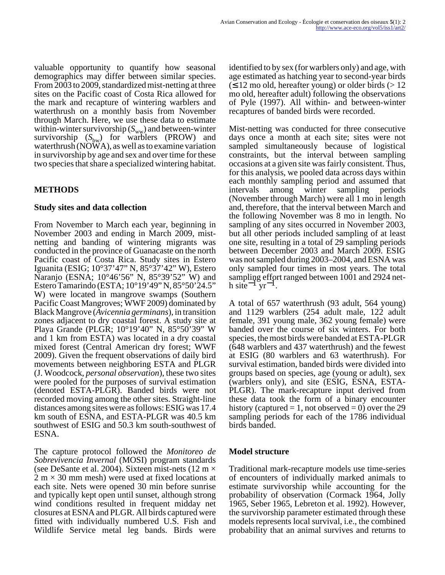valuable opportunity to quantify how seasonal demographics may differ between similar species. From 2003 to 2009, standardized mist-netting at three sites on the Pacific coast of Costa Rica allowed for the mark and recapture of wintering warblers and waterthrush on a monthly basis from November through March. Here, we use these data to estimate within-winter survivorship  $(S_{ww})$  and between-winter survivorship  $(S_{bw})$  for warblers (PROW) and waterthrush  $(NO\ddot{W}A)$ , as well as to examine variation in survivorship by age and sex and over time for these two species that share a specialized wintering habitat.

# **METHODS**

#### **Study sites and data collection**

From November to March each year, beginning in November 2003 and ending in March 2009, mistnetting and banding of wintering migrants was conducted in the province of Guanacaste on the north Pacific coast of Costa Rica. Study sites in Estero Iguanita (ESIG; 10°37'47" N, 85°37'42" W), Estero Naranjo (ESNA; 10°46'56" N, 85°39'52" W) and Estero Tamarindo (ESTA; 10°19'49" N, 85°50'24.5" W) were located in mangrove swamps (Southern Pacific Coast Mangroves; WWF 2009) dominated by Black Mangrove (*Avicennia germinans*), in transition zones adjacent to dry coastal forest. A study site at Playa Grande (PLGR; 10°19'40" N, 85°50'39" W and 1 km from ESTA) was located in a dry coastal mixed forest (Central American dry forest; WWF 2009). Given the frequent observations of daily bird movements between neighboring ESTA and PLGR (J. Woodcock, *personal observation*), these two sites were pooled for the purposes of survival estimation (denoted ESTA-PLGR). Banded birds were not recorded moving among the other sites. Straight-line distances among sites were as follows: ESIG was 17.4 km south of ESNA, and ESTA-PLGR was 40.5 km southwest of ESIG and 50.3 km south-southwest of ESNA.

The capture protocol followed the *Monitoreo de Sobrevivencia Invernal* (MOSI) program standards (see DeSante et al. 2004). Sixteen mist-nets (12 m  $\times$  $2 \text{ m} \times 30 \text{ mm}$  mesh) were used at fixed locations at each site. Nets were opened 30 min before sunrise and typically kept open until sunset, although strong wind conditions resulted in frequent midday net closures at ESNA and PLGR. All birds captured were fitted with individually numbered U.S. Fish and Wildlife Service metal leg bands. Birds were identified to by sex (for warblers only) and age, with age estimated as hatching year to second-year birds  $(\leq 12 \text{ mo old}, \text{hereafter young})$  or older birds (> 12 mo old, hereafter adult) following the observations of Pyle (1997). All within- and between-winter recaptures of banded birds were recorded.

Mist-netting was conducted for three consecutive days once a month at each site; sites were not sampled simultaneously because of logistical constraints, but the interval between sampling occasions at a given site was fairly consistent. Thus, for this analysis, we pooled data across days within each monthly sampling period and assumed that<br>intervals among winter sampling periods intervals among winter sampling periods (November through March) were all 1 mo in length and, therefore, that the interval between March and the following November was 8 mo in length. No sampling of any sites occurred in November 2003, but all other periods included sampling of at least one site, resulting in a total of 29 sampling periods between December 2003 and March 2009. ESIG was not sampled during 2003–2004, and ESNA was only sampled four times in most years. The total sampling effort ranged between 1001 and 2924 neth site<sup> $-1$ </sup> yr<sup> $-1$ </sup>.

A total of 657 waterthrush (93 adult, 564 young) and 1129 warblers (254 adult male, 122 adult female, 391 young male, 362 young female) were banded over the course of six winters. For both species, the most birds were banded at ESTA-PLGR (648 warblers and 437 waterthrush) and the fewest at ESIG (80 warblers and 63 waterthrush). For survival estimation, banded birds were divided into groups based on species, age (young or adult), sex (warblers only), and site (ESIG, ESNA, ESTA-PLGR). The mark-recapture input derived from these data took the form of a binary encounter history (captured = 1, not observed = 0) over the 29 sampling periods for each of the 1786 individual birds banded.

#### **Model structure**

Traditional mark-recapture models use time-series of encounters of individually marked animals to estimate survivorship while accounting for the probability of observation (Cormack 1964, Jolly 1965, Seber 1965, Lebreton et al. 1992). However, the survivorship parameter estimated through these models represents local survival, i.e., the combined probability that an animal survives and returns to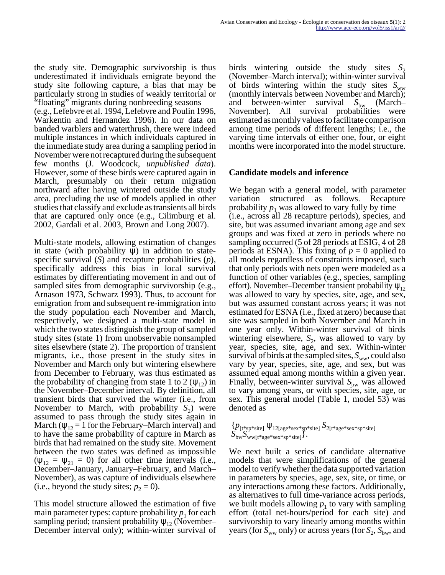the study site. Demographic survivorship is thus underestimated if individuals emigrate beyond the study site following capture, a bias that may be particularly strong in studies of weakly territorial or "floating" migrants during nonbreeding seasons (e.g., Lefebvre et al. 1994, Lefebvre and Poulin 1996, Warkentin and Hernandez 1996). In our data on banded warblers and waterthrush, there were indeed multiple instances in which individuals captured in the immediate study area during a sampling period in November were not recaptured during the subsequent few months (J. Woodcock, *unpublished data*). However, some of these birds were captured again in March, presumably on their return migration northward after having wintered outside the study area, precluding the use of models applied in other studies that classify and exclude as transients all birds that are captured only once (e.g., Cilimburg et al. 2002, Gardali et al. 2003, Brown and Long 2007).

Multi-state models, allowing estimation of changes in state (with probability  $\psi$ ) in addition to statespecific survival (*S*) and recapture probabilities (*p*), specifically address this bias in local survival estimates by differentiating movement in and out of sampled sites from demographic survivorship (e.g., Arnason 1973, Schwarz 1993). Thus, to account for emigration from and subsequent re-immigration into the study population each November and March, respectively, we designed a multi-state model in which the two states distinguish the group of sampled study sites (state 1) from unobservable nonsampled sites elsewhere (state 2). The proportion of transient migrants, i.e., those present in the study sites in November and March only but wintering elsewhere from December to February, was thus estimated as the probability of changing from state 1 to 2 ( $\psi_{12}$ ) in the November–December interval. By definition, all transient birds that survived the winter (i.e., from November to March, with probability  $S_2$ ) were assumed to pass through the study sites again in March ( $\psi_{12} = 1$  for the February–March interval) and to have the same probability of capture in March as birds that had remained on the study site. Movement between the two states was defined as impossible  $(\psi_{12} = \psi_{21} = 0)$  for all other time intervals (i.e., December–January, January–February, and March– November), as was capture of individuals elsewhere (i.e., beyond the study sites;  $p_2 = 0$ ).

This model structure allowed the estimation of five main parameter types: capture probability  $p_1$  for each sampling period; transient probability  $\psi_{12}$  (November– December interval only); within-winter survival of birds wintering outside the study sites  $S_2$ (November–March interval); within-winter survival of birds wintering within the study sites  $S_{ww}$ (monthly intervals between November and March); and between-winter survival  $S_{bw}$  (March– November). All survival probabilities were estimated as monthly values to facilitate comparison among time periods of different lengths; i.e., the varying time intervals of either one, four, or eight months were incorporated into the model structure.

#### **Candidate models and inference**

We began with a general model, with parameter variation structured as follows. Recapture probability  $p_1$  was allowed to vary fully by time (i.e., across all 28 recapture periods), species, and site, but was assumed invariant among age and sex groups and was fixed at zero in periods where no sampling occurred (5 of 28 periods at ESIG, 4 of 28 periods at ESNA). This fixing of  $p = 0$  applied to all models regardless of constraints imposed, such that only periods with nets open were modeled as a function of other variables (e.g., species, sampling effort). November–December transient probability  $\psi_{12}$ was allowed to vary by species, site, age, and sex, but was assumed constant across years; it was not estimated for ESNA (i.e., fixed at zero) because that site was sampled in both November and March in one year only. Within-winter survival of birds wintering elsewhere,  $S_2$ , was allowed to vary by year, species, site, age, and sex. Within-winter survival of birds at the sampled sites,  $S_{ww}$ , could also vary by year, species, site, age, and sex, but was assumed equal among months within a given year. Finally, between-winter survival S<sub>bw</sub> was allowed to vary among years, or with species, site, age, or sex. This general model (Table 1, model 53) was denoted as

#### {*p*[t\*sp\*site] ψ12[age\*sex\*sp\*site] *S*2[t\*age\*sex\*sp\*site]  $S_{\text{bw}} S_{\text{ww}[t*age*sex*sp*site]}^T$ .

We next built a series of candidate alternative models that were simplifications of the general model to verify whether the data supported variation in parameters by species, age, sex, site, or time, or any interactions among these factors. Additionally, as alternatives to full time-variance across periods, we built models allowing  $p_1$  to vary with sampling effort (total net-hours/period for each site) and survivorship to vary linearly among months within years (for  $S_{\rm ww}$  only) or across years (for  $S_{2}$ ,  $S_{\rm bw}$ , and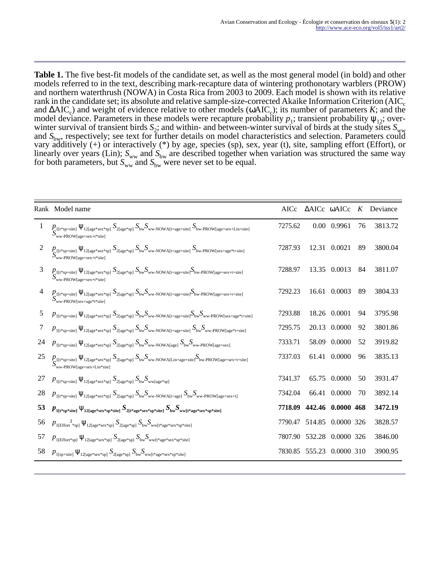**Table 1.** The five best-fit models of the candidate set, as well as the most general model (in bold) and other models referred to in the text, describing mark-recapture data of wintering prothonotary warblers (PROW) and northern waterthrush (NOWA) in Costa Rica from 2003 to 2009. Each model is shown with its relative rank in the candidate set; its absolute and relative sample-size-corrected Akaike Information Criterion ( $AIC<sub>c</sub>$ and ΔAIC<sub>c</sub>) and weight of evidence relative to other models (ωAIC<sub>c</sub>); its number of parameters *K*; and the model deviance. Parameters in these models were recapture probability  $p_1$ ; transient probability  $\psi_{12}$ ; overwinter survival of transient birds  $S_2$ ; and within- and between-winter survival of birds at the study sites  $S_{ww}$ and S<sub>bw</sub>, respectively; see text for further details on model characteristics and selection. Parameters could vary additively (+) or interactively (\*) by age, species (sp), sex, year (t), site, sampling effort (Effort), or linearly over years (Lin);  $S_{ww}$  and  $S_{bw}$  are described together when variation was structured the same way for both parameters, but  $S_{ww}$  and  $S_{bw}$  were never set to be equal.

|                | Rank Model name                                                                                                                                                                                                                                                                                                                                           | AICc    |        | $\triangle$ AICc $\omega$ AICc | K  | Deviance |
|----------------|-----------------------------------------------------------------------------------------------------------------------------------------------------------------------------------------------------------------------------------------------------------------------------------------------------------------------------------------------------------|---------|--------|--------------------------------|----|----------|
| 1              | $P_{\mathbf{C}^{1[t^{*}sp+site]}} \Psi_{12[age^{*}sex^{*}sp]} S_{2[age^{*}sp]} S_{bw} S_{ww\text{-}NOWA[t+age+site]} S_{bw\text{-}ROW[age+sex+Lin+site]}$<br>$S_{ww\text{-}PROW[age + sex + t * site]}$                                                                                                                                                   | 7275.62 |        | 0.00 0.9961                    | 76 | 3813.72  |
| 2              | $\small \begin{array}{l} {D_{1[\mathfrak{t}^*\text{sp+site}]}} \; \Psi_{12[\text{age*sex*sp}]} \; {S_{2[\text{age*sp}]}} \; {S_{\text{bw}}} {S_{\text{ww-NOWA}[\text{t+age+site}]}} \; {S_{\text{bw-PROW}[\text{sex+age*t+site}]}} \\ {S_{\text{ww-PROW}[\text{age+sex+t*site}]}} \end{array}$                                                            | 7287.93 |        | 12.31 0.0021                   | 89 | 3800.04  |
| 3              | $\displaystyle\mathop{B}_{\textsc{ww-PROW}}\sum_{\textsc{new-PROW}}\Psi_{12\textsc{[age*sex+*sp]}}\ S_{2\textsc{[age*sp]}}\ S_{\textsc{bw}}S_{\textsc{ww-NowA[t+age+site]}}S_{\textsc{bw-PROW[age+sex+t+site]}}$                                                                                                                                          | 7288.97 |        | 13.35 0.0013                   | 84 | 3811.07  |
| $\overline{4}$ | $\underset{\text{Ww-PROW[see+see+**size}}{\text{P1[t*sp-site]}} \Psi_{12 \text{[age*sex*sp]}} \ S_{2 \text{[age*sp]}} \ S_{\text{bw}} S_{\text{ww-NOWLED}} S_{\text{ww-ROW[1+age+site]}} S_{\text{bw-PROW[age+sex+t-site]}}$                                                                                                                              | 7292.23 |        | 16.61 0.0003                   | 89 | 3804.33  |
| 5              | $p_{1[t^*sp+site]} \Psi_{12[age^*sex^*sp]} S_{2[age^*sp]} S_{bw} S_{ww\text{-}NOWA[t+age+site]} S_{bw} S_{ww\text{-}PROW[sex+age^*t+site]}$                                                                                                                                                                                                               | 7293.88 |        | 18.26 0.0001                   | 94 | 3795.98  |
| 7              | $p_{1\left[\text{t}^{*}\text{sp+site}\right]}\Psi_{12\left[\text{age}^{*}\text{sex}^{*}\text{sp}\right]}\ S_{2\left[\text{age}^{*}\text{sp}\right]}\ S_{\text{bw}}S_{\text{ww-NOWA}\left[\text{t+age+site}\right]}\ S_{\text{bw}}S_{\text{ww-PROW}\left[\text{age}^{*}\text{t+site}\right]}\$                                                             | 7295.75 | 20.13  | 0.0000                         | 92 | 3801.86  |
| 24             | $p_{1\text{[t * sp + site]}} \psi_{12\text{[age * sex * sp]}} S_{2\text{[age * sp]}} S_{bw} S_{ww\text{-}NowA\text{[age]}} S_{bw} S_{ww\text{-}PROW\text{[age + sex]}}$                                                                                                                                                                                   | 7333.71 | 58.09  | 0.0000                         | 52 | 3919.82  |
| 25             | $\displaystyle S_{\text{ww-PROW[age+sex+Lin$-site]}}^{\{1\} \mathsf{V}_{12[\text{age*sex} \ast \text{sp}]} S_{2[\text{age*sp}]} S_{\text{bw}} S_{\text{ww-NOWLED+age+site]}} S_{\text{bw-PROW[age+sex+t+site]}}$                                                                                                                                          | 7337.03 |        | 61.41 0.0000                   | 96 | 3835.13  |
| 27             | $p_{1\texttt{[t*sp+site]}}\,\psi_{12\texttt{[age*sex*sp]}}\,S_{2\texttt{[age*sp]}}\,S_\texttt{bw} S_\texttt{ww[age*sp]}\,$                                                                                                                                                                                                                                | 7341.37 |        | 65.75 0.0000                   | 50 | 3931.47  |
| 28             | $p_{1[t^*sp+site]} \ \psi_{12[age^*sex^*sp]} \ S_{2[age^*sp]} \ S_{bw} S_{ww\text{-}NOWLEDX}[t+age]} \ S_{bw} S_{ww\text{-}PROW[age+sex+t]}$                                                                                                                                                                                                              | 7342.04 |        | 66.41 0.0000                   | 70 | 3892.14  |
| 53             | $p_{\text{1}[t\textsuperscript{*}]{\text{site}}} \psi_{\text{12}[age\textsuperscript{*}]{\text{size}}\textsuperscript{*}]{\text{site}}} S_{\text{2}[t\textsuperscript{*}]{\text{size}}\textsuperscript{*}]{\text{size}}} S_{\text{bw}} S_{\text{ww}[t\textsuperscript{*}]{\text{age}}\textsuperscript{*}]{\text{size}}\textsuperscript{*}]{\text{size}}}$ | 7718.09 |        | 442.46 0.0000 468              |    | 3472.19  |
| 56             | $P_{1[Effort **sp]} \Psi_{12[age*sex *sp]} S_{2[age *sp]} S_{bw} S_{ww[t*age*sex *sp*site]}$                                                                                                                                                                                                                                                              | 7790.47 |        | 514.85 0.0000 326              |    | 3828.57  |
| 57             | $P_{1[Effort * sp]} \Psi_{12[age * sex * sp]} S_{2[age * sp]} S_{bw} S_{ww[t * age * sex * sp * site]}$                                                                                                                                                                                                                                                   | 7807.90 | 532.28 | 0.0000 326                     |    | 3846.00  |
| 58             | $p_{1\left[\text{sp+site}\right]}\,\psi_{12\left[\text{age*sex*sp}\right]}\,S_{2\left[\text{age*sp}\right]}\,S_{\text{bw}}S_{\text{ww}[t^*\text{age*sex*sp}*\text{site}]}\,$                                                                                                                                                                              | 7830.85 |        | 555.23 0.0000 310              |    | 3900.95  |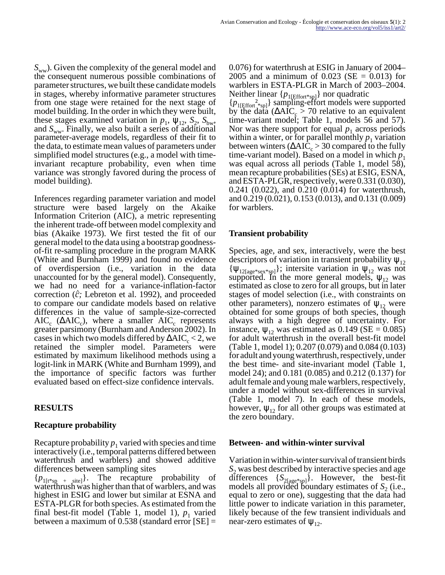*S<sub>ww</sub>*). Given the complexity of the general model and the consequent numerous possible combinations of parameter structures, we built these candidate models in stages, whereby informative parameter structures from one stage were retained for the next stage of model building. In the order in which they were built, these stages examined variation in  $p_1$ ,  $\psi_{12}$ ,  $S_2$ ,  $S_{\text{bw}}$ , and  $S_{ww}$ . Finally, we also built a series of additional parameter-average models, regardless of their fit to the data, to estimate mean values of parameters under simplified model structures (e.g., a model with timeinvariant recapture probability, even when time variance was strongly favored during the process of model building).

Inferences regarding parameter variation and model structure were based largely on the Akaike Information Criterion (AIC), a metric representing the inherent trade-off between model complexity and bias (Akaike 1973). We first tested the fit of our general model to the data using a bootstrap goodnessof-fit re-sampling procedure in the program MARK (White and Burnham 1999) and found no evidence of overdispersion (i.e., variation in the data unaccounted for by the general model). Consequently, we had no need for a variance-inflation-factor correction ( $\hat{c}$ ; Lebreton et al. 1992), and proceeded to compare our candidate models based on relative differences in the value of sample-size-corrected  $AIC_c$  ( $\triangle AIC_c$ ), where a smaller  $AIC_c$  represents greater parsimony (Burnham and Anderson 2002). In cases in which two models differed by  $\Delta AIC_c < 2$ , we retained the simpler model. Parameters were estimated by maximum likelihood methods using a logit-link in MARK (White and Burnham 1999), and the importance of specific factors was further evaluated based on effect-size confidence intervals.

# **RESULTS**

#### **Recapture probability**

Recapture probability  $p_1$  varied with species and time interactively (i.e., temporal patterns differed between waterthrush and warblers) and showed additive differences between sampling sites

 ${p_{1[t^{*}sp_{1} + [site]}}$ . The recapture probability of waterthrush was higher than that of warblers, and was highest in ESIG and lower but similar at ESNA and ESTA-PLGR for both species. As estimated from the final best-fit model (Table 1, model 1),  $p_1$  varied between a maximum of 0.538 (standard error [SE] = 0.076) for waterthrush at ESIG in January of 2004– 2005 and a minimum of 0.023 (SE =  $0.013$ ) for warblers in ESTA-PLGR in March of 2003–2004.

Neither linear { $p_{1[Effort*sp1]}$ } nor quadratic  ${p_{1[Effort}}^2_{\text{*spl}}$  sampling-effort models were supported by the data ( $\triangle AIC_c > 70$  relative to an equivalent time-variant model; Table 1, models 56 and 57). Nor was there support for equal  $p_1$  across periods within a winter, or for parallel monthly  $p_1$  variation between winters ( $\triangle AIC_c > 30$  compared to the fully time-variant model). Based on a model in which  $p_1$ was equal across all periods (Table 1, model 58), mean recapture probabilities (SEs) at ESIG, ESNA, and ESTA-PLGR, respectively, were 0.331 (0.030), 0.241 (0.022), and 0.210 (0.014) for waterthrush, and 0.219 (0.021), 0.153 (0.013), and 0.131 (0.009) for warblers.

#### **Transient probability**

Species, age, and sex, interactively, were the best descriptors of variation in transient probability  $\psi_{12}$  ${\Psi_{12[age^*sex^*sp]}}$ ; intersite variation in  ${\Psi_{12}}$  was not supported. In the more general models,  $\psi_{12}$  was estimated as close to zero for all groups, but in later stages of model selection (i.e., with constraints on other parameters), nonzero estimates of  $\psi_{12}$  were obtained for some groups of both species, though always with a high degree of uncertainty. For instance,  $\psi_{12}$  was estimated as 0.149 (SE = 0.085) for adult waterthrush in the overall best-fit model (Table 1, model 1); 0.207 (0.079) and 0.084 (0.103) for adult and young waterthrush, respectively, under the best time- and site-invariant model (Table 1, model 24); and 0.181 (0.085) and 0.212 (0.137) for adult female and young male warblers, respectively, under a model without sex-differences in survival (Table 1, model 7). In each of these models, however,  $\psi_{12}$  for all other groups was estimated at the zero boundary.

#### **Between- and within-winter survival**

Variation in within-winter survival of transient birds S<sub>2</sub> was best described by interactive species and age differences {*S*2[age\*sp]}. However, the best-fit models all provided boundary estimates of  $S_2$  (i.e., equal to zero or one), suggesting that the data had little power to indicate variation in this parameter, likely because of the few transient individuals and near-zero estimates of  $\psi_{12}$ .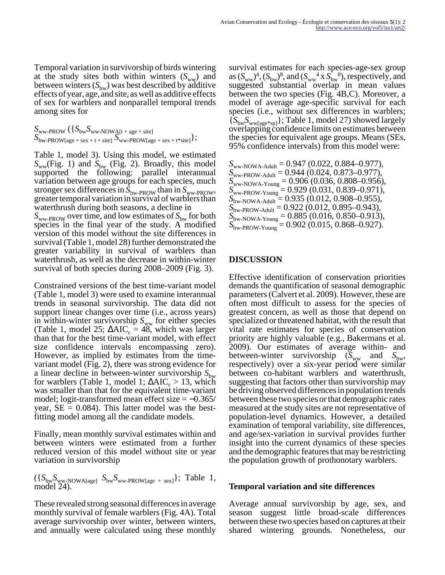Temporal variation in survivorship of birds wintering at the study sites both within winters  $(S_{ww})$  and between winters  $(S<sub>bw</sub>)$  was best described by additive effects of year, age, and site, as well as additive effects of sex for warblers and nonparallel temporal trends among sites for

 $S_{\text{ww-PROW}}$  ({ $S_{\text{bw}}$  $S_{\text{ww-NOWA[t + age + site]}}$  $S_{\text{bw-PROW}[age + sex + t + site]}$   $S_{\text{ww-PROW}[age + sex + t * site]}$ ;

Table 1, model 3). Using this model, we estimated  $S_{ww}$ (Fig. 1) and  $S_{bw}$  (Fig. 2). Broadly, this model supported the following: parallel interannual variation between age groups for each species, much stronger sex differences in  $\tilde{S}_{bw\text{-}PROW}$  than in  $S_{ww\text{-}PROW}$ , greater temporal variation in survival of warblers than waterthrush during both seasons, a decline in  $S_{ww\text{-}PROW}$  over time, and low estimates of  $S_{bw}$  for both species in the final year of the study. A modified version of this model without the site differences in survival (Table 1, model 28) further demonstrated the greater variability in survival of warblers than waterthrush, as well as the decrease in within-winter survival of both species during 2008–2009 (Fig. 3).

Constrained versions of the best time-variant model (Table 1, model 3) were used to examine interannual trends in seasonal survivorship. The data did not support linear changes over time (i.e., across years) in within-winter survivorship  $S_{ww}$  for either species (Table 1, model 25;  $\triangle AIC_c = 48$ , which was larger than that for the best time-variant model, with effect size confidence intervals encompassing zero). However, as implied by estimates from the timevariant model (Fig. 2), there was strong evidence for a linear decline in between-winter survivorship  $S_{bw}$ for warblers (Table 1, model 1;  $\Delta AIC_c > 13$ , which was smaller than that for the equivalent time-variant model; logit-transformed mean effect size  $= -0.365/$ year,  $SE = 0.084$ ). This latter model was the bestfitting model among all the candidate models.

Finally, mean monthly survival estimates within and between winters were estimated from a further reduced version of this model without site or year variation in survivorship

 $({S_{bw}}_{\text{vw-NOWA[age]}} S_{bw} S_{ww\text{-}PROW[age + sex]};$  Table 1, model 24).

These revealed strong seasonal differences in average monthly survival of female warblers (Fig. 4A). Total average survivorship over winter, between winters, and annually were calculated using these monthly survival estimates for each species-age-sex group as  $(S_{ww})^4$ ,  $(S_{bw})^8$ , and  $(S_{ww}^4 \times S_{bw}^6)$ , respectively, and suggested substantial overlap in mean values between the two species (Fig. 4B,C). Moreover, a model of average age-specific survival for each species (i.e., without sex differences in warblers;  ${S_{bw}S_{ww[age*sp]}}$ ; Table 1, model 27) showed largely overlapping confidence limits on estimates between the species for equivalent age groups. Means (SEs, 95% confidence intervals) from this model were:

*S*ww-NOWA-Adult = 0.947 (0.022, 0.884–0.977),  $S_{\text{ww-PROW-Adult}} = 0.944 (0.024, 0.873 - 0.977),$  $S_{\text{ww-NOWA-Young}} = 0.906 (0.036, 0.808 - 0.956),$  $S_{\text{ww-PROW-Young}} = 0.929(0.031, 0.839 - 0.971),$ *S*<sub>bw-NOWA-Adult</sub> = 0.935 (0.012, 0.908–0.955),  $S_{\text{bw-PROW-Adult}} = 0.922 (0.012, 0.895 - 0.943),$  $S_{\text{bw-NOWA-Young}} = 0.885 (0.016, 0.850 - 0.913),$  $S_{\text{bw-PROW-Young}} = 0.902 (0.015, 0.868 - 0.927).$ 

# **DISCUSSION**

Effective identification of conservation priorities demands the quantification of seasonal demographic parameters (Calvert et al. 2009). However, these are often most difficult to assess for the species of greatest concern, as well as those that depend on specialized or threatened habitat, with the result that vital rate estimates for species of conservation priority are highly valuable (e.g., Bakermans et al. 2009). Our estimates of average within- and between-winter survivorship  $(S_{ww}$  and  $S_{bw}$ , respectively) over a six-year period were similar between co-habitant warblers and waterthrush, suggesting that factors other than survivorship may be driving observed differences in population trends between these two species or that demographic rates measured at the study sites are not representative of population-level dynamics. However, a detailed examination of temporal variability, site differences, and age/sex-variation in survival provides further insight into the current dynamics of these species and the demographic features that may be restricting the population growth of prothonotary warblers.

#### **Temporal variation and site differences**

Average annual survivorship by age, sex, and season suggest little broad-scale differences between these two species based on captures at their shared wintering grounds. Nonetheless, our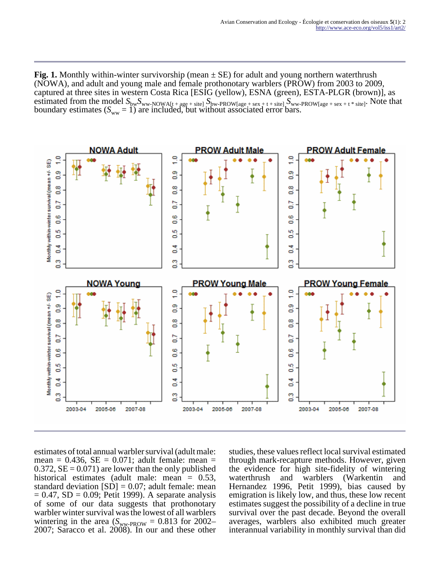**Fig. 1.** Monthly within-winter survivorship (mean ± SE) for adult and young northern waterthrush (NOWA), and adult and young male and female prothonotary warblers (PROW) from 2003 to 2009, captured at three sites in western Costa Rica [ESIG (yellow), ESNA (green), ESTA-PLGR (brown)], as estimated from the model  $S_{bw}S_{ww\text{-}NOWA[t + age + site]}S_{bw\text{-}PROW[age + sex + t + site]}S_{ww\text{-}PROW[age + sex + t * site]}$ . Note that boundary estimates  $(S_{ww} = 1)$  are included, but without associated error bars.



estimates of total annual warbler survival (adult male: mean =  $0.436$ , SE =  $0.071$ ; adult female: mean =  $0.372$ ,  $SE = 0.071$  are lower than the only published historical estimates (adult male: mean = 0.53, standard deviation  $[SD] = 0.07$ ; adult female: mean  $= 0.47$ , SD  $= 0.09$ ; Petit 1999). A separate analysis of some of our data suggests that prothonotary warbler winter survival was the lowest of all warblers wintering in the area ( $S_{WW-PROW}$  = 0.813 for 2002– 2007; Saracco et al. 2008). In our and these other studies, these values reflect local survival estimated through mark-recapture methods. However, given the evidence for high site-fidelity of wintering waterthrush and warblers (Warkentin and Hernandez 1996, Petit 1999), bias caused by emigration is likely low, and thus, these low recent estimates suggest the possibility of a decline in true survival over the past decade. Beyond the overall averages, warblers also exhibited much greater interannual variability in monthly survival than did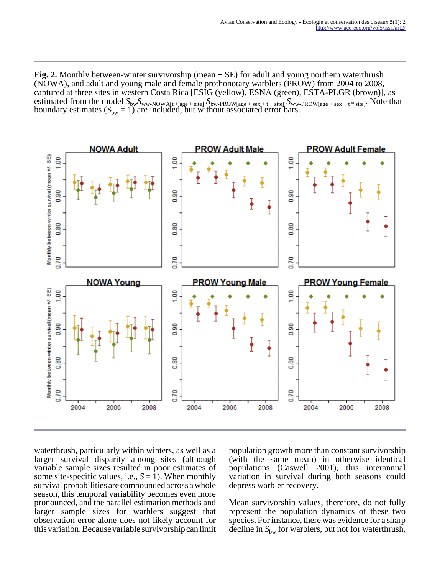**Fig. 2.** Monthly between-winter survivorship (mean  $\pm$  SE) for adult and young northern waterthrush (NOWA), and adult and young male and female prothonotary warblers (PROW) from 2004 to 2008, captured at three sites in western Costa Rica [ESIG (yellow), ESNA (green), ESTA-PLGR (brown)], as estimated from the model  $S_{bw}S_{ww\text{-}NOWA[t + age + site]}$   $S_{bw\text{-}PROW[age + sex + t + site]}$   $S_{ww\text{-}PROW[age + sex + t * site]}$ . Note that boundary estimates  $(S_{bw} = 1)$  are included, but without associated error bars.



waterthrush, particularly within winters, as well as a larger survival disparity among sites (although variable sample sizes resulted in poor estimates of some site-specific values, i.e.,  $S = 1$ ). When monthly survival probabilities are compounded across a whole season, this temporal variability becomes even more pronounced, and the parallel estimation methods and larger sample sizes for warblers suggest that observation error alone does not likely account for this variation. Because variable survivorship can limit

population growth more than constant survivorship (with the same mean) in otherwise identical populations (Caswell 2001), this interannual variation in survival during both seasons could depress warbler recovery.

Mean survivorship values, therefore, do not fully represent the population dynamics of these two species. For instance, there was evidence for a sharp decline in  $S_{bw}$  for warblers, but not for waterthrush,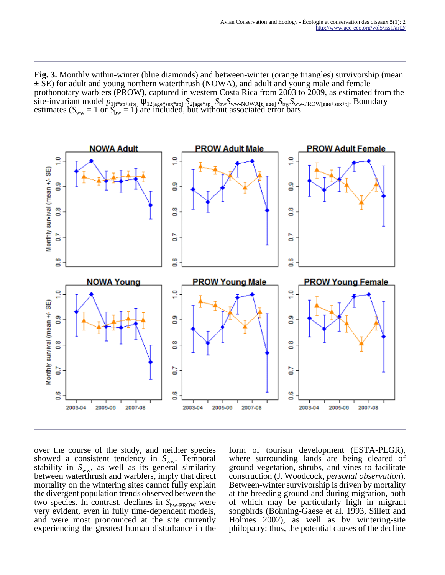**Fig. 3.** Monthly within-winter (blue diamonds) and between-winter (orange triangles) survivorship (mean  $\pm$  SE) for adult and young northern waterthrush (NOWA), and adult and young male and female prothonotary warblers (PROW), captured in western Costa Rica from 2003 to 2009, as estimated from the site-invariant model *p*1[t\*sp+site] ψ12[age\*sex\*sp] *S*2[age\*sp] *S*bw*S*ww-NOWA[t+age] *S*bw*S*ww-PROW[age+sex+t]. Boundary estimates ( $S_{ww} = 1$  or  $S_{bw} = 1$ ) are included, but without associated error bars.



over the course of the study, and neither species showed a consistent tendency in S<sub>ww</sub>. Temporal stability in  $S_{ww}$ , as well as its general similarity between waterthrush and warblers, imply that direct mortality on the wintering sites cannot fully explain the divergent population trends observed between the two species. In contrast, declines in  $S_{bw\text{-}PROW}$  were very evident, even in fully time-dependent models, and were most pronounced at the site currently experiencing the greatest human disturbance in the form of tourism development (ESTA-PLGR), where surrounding lands are being cleared of ground vegetation, shrubs, and vines to facilitate construction (J. Woodcock, *personal observation*). Between-winter survivorship is driven by mortality at the breeding ground and during migration, both of which may be particularly high in migrant songbirds (Bohning-Gaese et al. 1993, Sillett and Holmes 2002), as well as by wintering-site philopatry; thus, the potential causes of the decline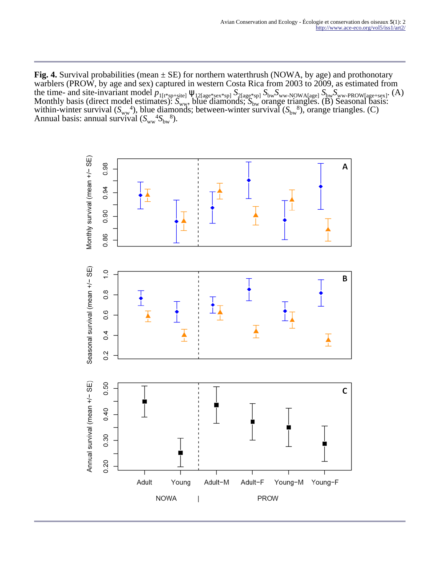**Fig. 4.** Survival probabilities (mean  $\pm$  SE) for northern waterthrush (NOWA, by age) and prothonotary warblers (PROW, by age and sex) captured in western Costa Rica from 2003 to 2009, as estimated from the time- and site-invariant model  $p_{1[t<sup>*</sup>sp+site]} \Psi_{12[age<sup>*</sup>sex<sup>*</sup>sp]} S_{2[age<sup>*</sup>sp]} S_{bw} S_{ww\text{-}NOWA[age]} S_{bw} S_{ww\text{-}PROW[age+sex]}$ . (A) Monthly basis (direct model estimates):  $S_{ww}$ , blue diamonds;  $S_{bw}$  orange triangles. (B) Seasonal basis: within-winter survival  $(S_{ww}^4)$ , blue diamonds; between-winter survival  $(S_{bw}^8)$ , orange triangles. (C) Annual basis: annual survival  $(S_{ww}^{4}S_{bw}^{8})$ .

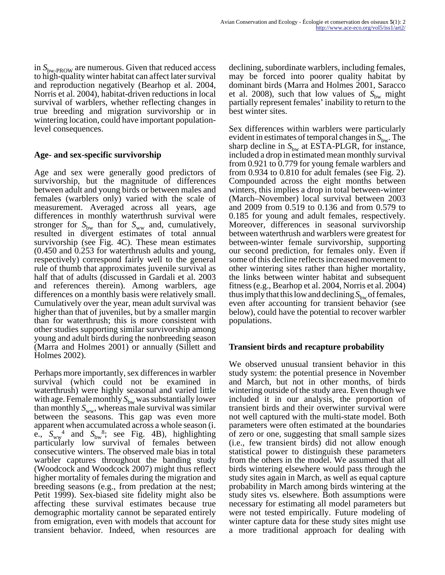in  $S_{bw\text{-}PROW}$  are numerous. Given that reduced access to high-quality winter habitat can affect later survival and reproduction negatively (Bearhop et al. 2004, Norris et al. 2004), habitat-driven reductions in local survival of warblers, whether reflecting changes in true breeding and migration survivorship or in wintering location, could have important populationlevel consequences.

#### **Age- and sex-specific survivorship**

Age and sex were generally good predictors of survivorship, but the magnitude of differences between adult and young birds or between males and females (warblers only) varied with the scale of measurement. Averaged across all years, age differences in monthly waterthrush survival were stronger for  $S_{bw}$  than for  $S_{ww}$  and, cumulatively, resulted in divergent estimates of total annual survivorship (see Fig. 4C). These mean estimates (0.450 and 0.253 for waterthrush adults and young, respectively) correspond fairly well to the general rule of thumb that approximates juvenile survival as half that of adults (discussed in Gardali et al. 2003 and references therein). Among warblers, age differences on a monthly basis were relatively small. Cumulatively over the year, mean adult survival was higher than that of juveniles, but by a smaller margin than for waterthrush; this is more consistent with other studies supporting similar survivorship among young and adult birds during the nonbreeding season (Marra and Holmes 2001) or annually (Sillett and Holmes 2002).

Perhaps more importantly, sex differences in warbler survival (which could not be examined in waterthrush) were highly seasonal and varied little with age. Female monthly  $S_{bw}$  was substantially lower than monthly  $S_{ww}$ , whereas male survival was similar between the seasons. This gap was even more apparent when accumulated across a whole season (i. e.,  $S_{ww}^4$  and  $S_{bw}^8$ ; see Fig. 4B), highlighting particularly low survival of females between consecutive winters. The observed male bias in total warbler captures throughout the banding study (Woodcock and Woodcock 2007) might thus reflect higher mortality of females during the migration and breeding seasons (e.g., from predation at the nest; Petit 1999). Sex-biased site fidelity might also be affecting these survival estimates because true demographic mortality cannot be separated entirely from emigration, even with models that account for transient behavior. Indeed, when resources are declining, subordinate warblers, including females, may be forced into poorer quality habitat by dominant birds (Marra and Holmes 2001, Saracco et al. 2008), such that low values of  $S_{\text{bw}}$  might partially represent females' inability to return to the best winter sites.

Sex differences within warblers were particularly evident in estimates of temporal changes in  $S_{bw}$ . The sharp decline in  $S_{bw}$  at ESTA-PLGR, for instance, included a drop in estimated mean monthly survival from 0.921 to 0.779 for young female warblers and from 0.934 to 0.810 for adult females (see Fig. 2). Compounded across the eight months between winters, this implies a drop in total between-winter (March–November) local survival between 2003 and 2009 from 0.519 to 0.136 and from 0.579 to 0.185 for young and adult females, respectively. Moreover, differences in seasonal survivorship between waterthrush and warblers were greatest for between-winter female survivorship, supporting our second prediction, for females only. Even if some of this decline reflects increased movement to other wintering sites rather than higher mortality, the links between winter habitat and subsequent fitness (e.g., Bearhop et al. 2004, Norris et al. 2004) thus imply that this low and declining  $S_{bw}$  of females, even after accounting for transient behavior (see below), could have the potential to recover warbler populations.

#### **Transient birds and recapture probability**

We observed unusual transient behavior in this study system: the potential presence in November and March, but not in other months, of birds wintering outside of the study area. Even though we included it in our analysis, the proportion of transient birds and their overwinter survival were not well captured with the multi-state model. Both parameters were often estimated at the boundaries of zero or one, suggesting that small sample sizes (i.e., few transient birds) did not allow enough statistical power to distinguish these parameters from the others in the model. We assumed that all birds wintering elsewhere would pass through the study sites again in March, as well as equal capture probability in March among birds wintering at the study sites vs. elsewhere. Both assumptions were necessary for estimating all model parameters but were not tested empirically. Future modeling of winter capture data for these study sites might use a more traditional approach for dealing with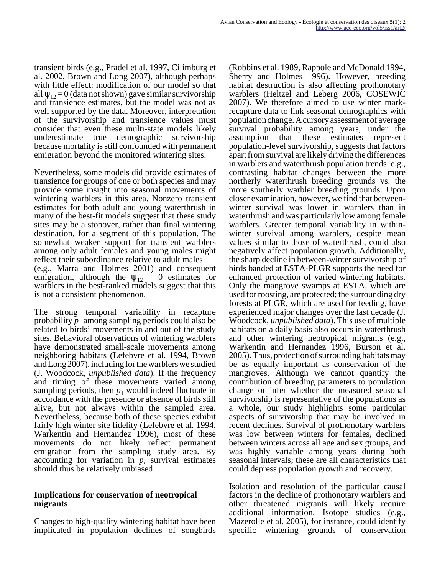transient birds (e.g., Pradel et al. 1997, Cilimburg et al. 2002, Brown and Long 2007), although perhaps with little effect: modification of our model so that all  $\psi_{12} = 0$  (data not shown) gave similar survivorship and transience estimates, but the model was not as well supported by the data. Moreover, interpretation of the survivorship and transience values must consider that even these multi-state models likely underestimate true demographic survivorship because mortality is still confounded with permanent emigration beyond the monitored wintering sites.

Nevertheless, some models did provide estimates of transience for groups of one or both species and may provide some insight into seasonal movements of wintering warblers in this area. Nonzero transient estimates for both adult and young waterthrush in many of the best-fit models suggest that these study sites may be a stopover, rather than final wintering destination, for a segment of this population. The somewhat weaker support for transient warblers among only adult females and young males might reflect their subordinance relative to adult males (e.g., Marra and Holmes 2001) and consequent emigration, although the  $\psi_{12} = 0$  estimates for warblers in the best-ranked models suggest that this is not a consistent phenomenon.

The strong temporal variability in recapture probability  $p_1$  among sampling periods could also be related to birds' movements in and out of the study sites. Behavioral observations of wintering warblers have demonstrated small-scale movements among neighboring habitats (Lefebvre et al. 1994, Brown and Long 2007), including for the warblers we studied (J. Woodcock, *unpublished data*). If the frequency and timing of these movements varied among sampling periods, then  $p_1$  would indeed fluctuate in accordance with the presence or absence of birds still alive, but not always within the sampled area. Nevertheless, because both of these species exhibit fairly high winter site fidelity (Lefebvre et al. 1994, Warkentin and Hernandez 1996), most of these movements do not likely reflect permanent emigration from the sampling study area. By accounting for variation in *p,* survival estimates should thus be relatively unbiased.

#### **Implications for conservation of neotropical migrants**

Changes to high-quality wintering habitat have been implicated in population declines of songbirds

(Robbins et al. 1989, Rappole and McDonald 1994, Sherry and Holmes 1996). However, breeding habitat destruction is also affecting prothonotary warblers (Heltzel and Leberg 2006, COSEWIC 2007). We therefore aimed to use winter markrecapture data to link seasonal demographics with population change. A cursory assessment of average survival probability among years, under the assumption that these estimates represent population-level survivorship, suggests that factors apart from survival are likely driving the differences in warblers and waterthrush population trends: e.g., contrasting habitat changes between the more northerly waterthrush breeding grounds vs. the more southerly warbler breeding grounds. Upon closer examination, however, we find that betweenwinter survival was lower in warblers than in waterthrush and was particularly low among female warblers. Greater temporal variability in withinwinter survival among warblers, despite mean values similar to those of waterthrush, could also negatively affect population growth. Additionally, the sharp decline in between-winter survivorship of birds banded at ESTA-PLGR supports the need for enhanced protection of varied wintering habitats. Only the mangrove swamps at ESTA, which are used for roosting, are protected; the surrounding dry forests at PLGR, which are used for feeding, have experienced major changes over the last decade (J. Woodcock, *unpublished data*). This use of multiple habitats on a daily basis also occurs in waterthrush and other wintering neotropical migrants (e.g., Warkentin and Hernandez 1996, Burson et al. 2005). Thus, protection of surrounding habitats may be as equally important as conservation of the mangroves. Although we cannot quantify the contribution of breeding parameters to population change or infer whether the measured seasonal survivorship is representative of the populations as a whole, our study highlights some particular aspects of survivorship that may be involved in recent declines. Survival of prothonotary warblers was low between winters for females, declined between winters across all age and sex groups, and was highly variable among years during both seasonal intervals; these are all characteristics that could depress population growth and recovery.

Isolation and resolution of the particular causal factors in the decline of prothonotary warblers and other threatened migrants will likely require additional information. Isotope studies (e.g., Mazerolle et al. 2005), for instance, could identify specific wintering grounds of conservation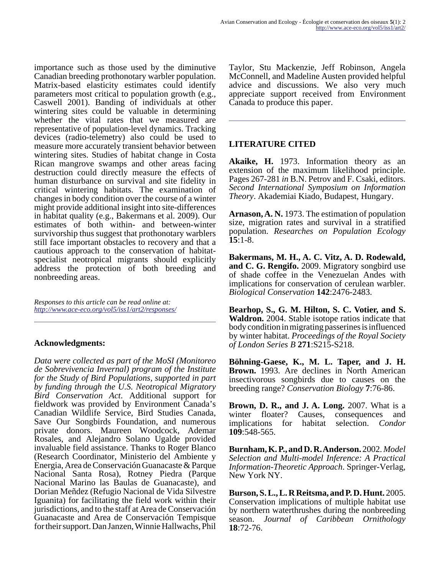importance such as those used by the diminutive Canadian breeding prothonotary warbler population. Matrix-based elasticity estimates could identify parameters most critical to population growth (e.g., Caswell 2001). Banding of individuals at other wintering sites could be valuable in determining whether the vital rates that we measured are representative of population-level dynamics. Tracking devices (radio-telemetry) also could be used to measure more accurately transient behavior between wintering sites. Studies of habitat change in Costa Rican mangrove swamps and other areas facing destruction could directly measure the effects of human disturbance on survival and site fidelity in critical wintering habitats. The examination of changes in body condition over the course of a winter might provide additional insight into site-differences in habitat quality (e.g., Bakermans et al. 2009). Our estimates of both within- and between-winter survivorship thus suggest that prothonotary warblers still face important obstacles to recovery and that a cautious approach to the conservation of habitatspecialist neotropical migrants should explicitly address the protection of both breeding and nonbreeding areas.

*Responses to this article can be read online at: <http://www.ace-eco.org/vol5/iss1/art2/responses/>*

#### **Acknowledgments:**

*Data were collected as part of the MoSI (Monitoreo de Sobrevivencia Invernal) program of the Institute for the Study of Bird Populations, supported in part by funding through the U.S. Neotropical Migratory Bird Conservation Act*. Additional support for fieldwork was provided by Environment Canada's Canadian Wildlife Service, Bird Studies Canada, Save Our Songbirds Foundation, and numerous private donors. Maureen Woodcock, Ademar Rosales, and Alejandro Solano Ugalde provided invaluable field assistance. Thanks to Roger Blanco (Research Coordinator, Ministerio del Ambiente y Energia, Area de Conservación Guanacaste & Parque Nacional Santa Rosa), Rotney Piedra (Parque Nacional Marino las Baulas de Guanacaste), and Dorian Meñdez (Refugio Nacional de Vida Silvestre Iguanita) for facilitating the field work within their jurisdictions, and to the staff at Area de Conservación Guanacaste and Area de Conservación Tempisque for their support. Dan Janzen, Winnie Hallwachs, Phil

Taylor, Stu Mackenzie, Jeff Robinson, Angela McConnell, and Madeline Austen provided helpful advice and discussions. We also very much appreciate support received from Environment Canada to produce this paper.

# **LITERATURE CITED**

**Akaike, H.** 1973. Information theory as an extension of the maximum likelihood principle. Pages 267-281 *in* B.N. Petrov and F. Csaki, editors. *Second International Symposium on Information Theory*. Akademiai Kiado, Budapest, Hungary.

**Arnason, A. N.** 1973. The estimation of population size, migration rates and survival in a stratified population. *Researches on Population Ecology* **15**:1-8.

**Bakermans, M. H., A. C. Vitz, A. D. Rodewald, and C. G. Rengifo.** 2009. Migratory songbird use of shade coffee in the Venezuelan Andes with implications for conservation of cerulean warbler. *Biological Conservation* **142**:2476-2483.

**Bearhop, S., G. M. Hilton, S. C. Votier, and S. Waldron.** 2004. Stable isotope ratios indicate that body condition in migrating passerines is influenced by winter habitat. *Proceedings of the Royal Society of London Series B* **271**:S215-S218.

**Böhning-Gaese, K., M. L. Taper, and J. H. Brown.** 1993. Are declines in North American insectivorous songbirds due to causes on the breeding range? *Conservation Biology* **7**:76-86.

**Brown, D. R., and J. A. Long.** 2007. What is a winter floater? Causes, consequences and implications for habitat selection. *Condor* **109**:548-565.

**Burnham, K. P., and D. R. Anderson.** 2002. *Model Selection and Multi-model Inference: A Practical Information-Theoretic Approach*. Springer-Verlag, New York NY.

**Burson, S. L., L. R Reitsma, and P. D. Hunt.** 2005. Conservation implications of multiple habitat use by northern waterthrushes during the nonbreeding season. *Journal of Caribbean Ornithology* **18**:72-76.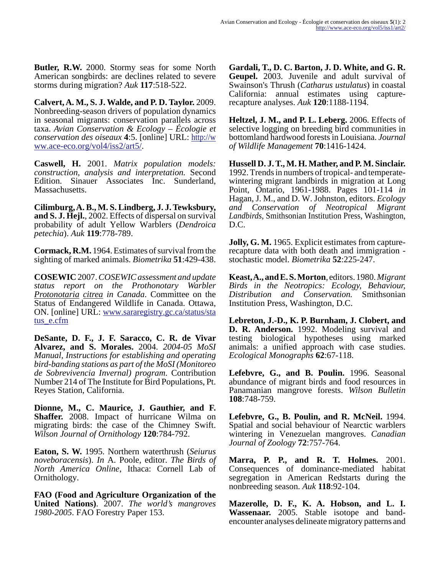**Butler, R.W.** 2000. Stormy seas for some North American songbirds: are declines related to severe storms during migration? *Auk* **117**:518-522.

**Calvert, A. M., S. J. Walde, and P. D. Taylor.** 2009. Nonbreeding-season drivers of population dynamics in seasonal migrants: conservation parallels across taxa. *Avian Conservation & Ecology – Écologie et conservation des oiseaux* **4**:5. [online] URL: [http://w](http://www.ace-eco.org/vol4/iss2/art5/) [ww.ace-eco.org/vol4/iss2/art5/.](http://www.ace-eco.org/vol4/iss2/art5/)

**Caswell, H.** 2001. *Matrix population models: construction, analysis and interpretation.* Second Edition. Sinauer Associates Inc. Sunderland, Massachusetts.

**Cilimburg, A. B., M. S. Lindberg, J. J. Tewksbury, and S. J. Hejl.**, 2002. Effects of dispersal on survival probability of adult Yellow Warblers (*Dendroica petechia*). *Auk* **119**:778-789.

**Cormack, R.M.** 1964. Estimates of survival from the sighting of marked animals. *Biometrika* **51**:429-438.

**COSEWIC** 2007. *COSEWIC assessment and update status report on the Prothonotary Warbler Protonotaria citrea in Canada*. Committee on the Status of Endangered Wildlife in Canada. Ottawa, ON. [online] URL: [www.sararegistry.gc.ca/status/sta](http://www.sararegistry.gc.ca/status/status_e.cfm) [tus\\_e.cfm](http://www.sararegistry.gc.ca/status/status_e.cfm)

**DeSante, D. F., J. F. Saracco, C. R. de Vivar Alvarez, and S. Morales.** 2004. *2004-05 MoSI Manual, Instructions for establishing and operating bird-banding stations as part of the MoSI (Monitoreo de Sobrevivencia Invernal) program*. Contribution Number 214 of The Institute for Bird Populations, Pt. Reyes Station, California.

**Dionne, M., C. Maurice, J. Gauthier, and F. Shaffer.** 2008. Impact of hurricane Wilma on migrating birds: the case of the Chimney Swift. *Wilson Journal of Ornithology* **120**:784-792.

**Eaton, S. W.** 1995. Northern waterthrush (*Seiurus noveboracensis*). *In* A. Poole, editor. *The Birds of North America Online*, Ithaca: Cornell Lab of Ornithology.

**FAO (Food and Agriculture Organization of the United Nations)**. 2007. *The world's mangroves 1980-2005*. FAO Forestry Paper 153.

**Gardali, T., D. C. Barton, J. D. White, and G. R. Geupel.** 2003. Juvenile and adult survival of Swainson's Thrush (*Catharus ustulatus*) in coastal California: annual estimates using capturerecapture analyses. *Auk* **120**:1188-1194.

**Heltzel, J. M., and P. L. Leberg.** 2006. Effects of selective logging on breeding bird communities in bottomland hardwood forests in Louisiana. *Journal of Wildlife Management* **70**:1416-1424.

**Hussell D. J. T., M. H. Mather, and P. M. Sinclair.** 1992. Trends in numbers of tropical- and temperatewintering migrant landbirds in migration at Long Point, Ontario, 1961-1988. Pages 101-114 *in* Hagan, J. M., and D. W. Johnston, editors. *Ecology and Conservation of Neotropical Migrant Landbirds*, Smithsonian Institution Press, Washington, D.C.

**Jolly, G. M.** 1965. Explicit estimates from capturerecapture data with both death and immigration stochastic model. *Biometrika* **52**:225-247.

**Keast, A., and E. S. Morton**, editors. 1980. *Migrant Birds in the Neotropics: Ecology, Behaviour, Distribution and Conservation.* Smithsonian Institution Press, Washington, D.C.

**Lebreton, J.-D., K. P. Burnham, J. Clobert, and D. R. Anderson.** 1992. Modeling survival and testing biological hypotheses using marked animals: a unified approach with case studies. *Ecological Monographs* **62**:67-118.

**Lefebvre, G., and B. Poulin.** 1996. Seasonal abundance of migrant birds and food resources in Panamanian mangrove forests. *Wilson Bulletin* **108**:748-759.

**Lefebvre, G., B. Poulin, and R. McNeil.** 1994. Spatial and social behaviour of Nearctic warblers wintering in Venezuelan mangroves. *Canadian Journal of Zoology* **72**:757-764.

**Marra, P. P., and R. T. Holmes.** 2001. Consequences of dominance-mediated habitat segregation in American Redstarts during the nonbreeding season. *Auk* **118**:92-104.

**Mazerolle, D. F., K. A. Hobson, and L. I. Wassenaar.** 2005. Stable isotope and bandencounter analyses delineate migratory patterns and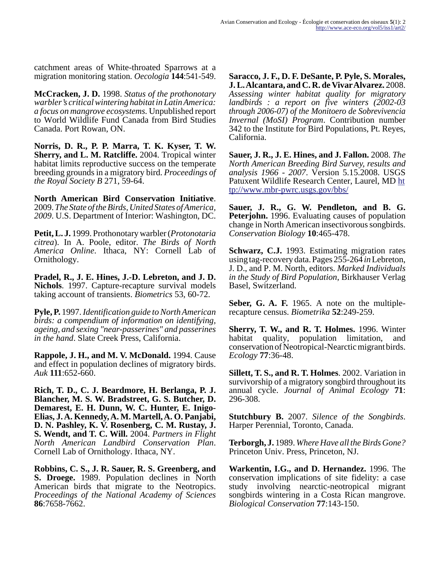catchment areas of White-throated Sparrows at a migration monitoring station. *Oecologia* **144**:541-549.

**McCracken, J. D.** 1998. *Status of the prothonotary warbler's critical wintering habitat in Latin America: a focus on mangrove ecosystems.* Unpublished report to World Wildlife Fund Canada from Bird Studies Canada. Port Rowan, ON.

**Norris, D. R., P. P. Marra, T. K. Kyser, T. W. Sherry, and L. M. Ratcliffe.** 2004. Tropical winter habitat limits reproductive success on the temperate breeding grounds in a migratory bird. *Proceedings of the Royal Society B* 271, 59-64.

**North American Bird Conservation Initiative**. 2009. *The State of the Birds, United States of America, 2009*. U.S. Department of Interior: Washington, DC.

**Petit, L. J.** 1999. Prothonotary warbler (*Protonotaria citrea*). In A. Poole, editor. *The Birds of North America Online*. Ithaca, NY: Cornell Lab of Ornithology.

**Pradel, R., J. E. Hines, J.-D. Lebreton, and J. D. Nichols**. 1997. Capture-recapture survival models taking account of transients. *Biometrics* 53, 60-72.

**Pyle, P.** 1997. *Identification guide to North American birds: a compendium of information on identifying, ageing, and sexing "near-passerines" and passerines in the hand*. Slate Creek Press, California.

**Rappole, J. H., and M. V. McDonald.** 1994. Cause and effect in population declines of migratory birds. *Auk* **111**:652-660.

**Rich, T. D., C. J. Beardmore, H. Berlanga, P. J. Blancher, M. S. W. Bradstreet, G. S. Butcher, D. Demarest, E. H. Dunn, W. C. Hunter, E. Inigo-Elias, J. A. Kennedy, A. M. Martell, A. O. Panjabi, D. N. Pashley, K. V. Rosenberg, C. M. Rustay, J. S. Wendt, and T. C. Will.** 2004. *Partners in Flight North American Landbird Conservation Plan*. Cornell Lab of Ornithology. Ithaca, NY.

**Robbins, C. S., J. R. Sauer, R. S. Greenberg, and S. Droege.** 1989. Population declines in North American birds that migrate to the Neotropics. *Proceedings of the National Academy of Sciences* **86**:7658-7662.

**Saracco, J. F., D. F. DeSante, P. Pyle, S. Morales, J. L. Alcantara, and C. R. de Vivar Alvarez.** 2008. *Assessing winter habitat quality for migratory landbirds : a report on five winters (2002-03 through 2006-07) of the Monitoero de Sobrevivencia Invernal (MoSI) Program*. Contribution number 342 to the Institute for Bird Populations, Pt. Reyes, California.

**Sauer, J. R., J. E. Hines, and J. Fallon.** 2008. *The North American Breeding Bird Survey, results and analysis 1966 - 2007*. Version 5.15.2008. USGS Patuxent Wildlife Research Center, Laurel, MD [ht](http://www.mbr-pwrc.usgs.gov/bbs/) [tp://www.mbr-pwrc.usgs.gov/bbs/](http://www.mbr-pwrc.usgs.gov/bbs/)

**Sauer, J. R., G. W. Pendleton, and B. G. Peteriohn.** 1996. Evaluating causes of population change in North American insectivorous songbirds. *Conservation Biology* **10**:465-478.

**Schwarz, C.J.** 1993. Estimating migration rates using tag-recovery data. Pages 255-264 *in* Lebreton, J. D., and P. M. North, editors. *Marked Individuals in the Study of Bird Population*, Birkhauser Verlag Basel, Switzerland.

**Seber, G. A. F.** 1965. A note on the multiplerecapture census. *Biometrika* **52**:249-259.

**Sherry, T. W., and R. T. Holmes.** 1996. Winter habitat quality, population limitation, and conservation of Neotropical-Nearctic migrant birds. *Ecology* **77**:36-48.

**Sillett, T. S., and R. T. Holmes**. 2002. Variation in survivorship of a migratory songbird throughout its annual cycle. *Journal of Animal Ecology* **71**: 296-308.

**Stutchbury B.** 2007. *Silence of the Songbirds*. Harper Perennial, Toronto, Canada.

**Terborgh, J.** 1989. *Where Have all the Birds Gone?* Princeton Univ. Press, Princeton, NJ.

**Warkentin, I.G., and D. Hernandez.** 1996. The conservation implications of site fidelity: a case study involving nearctic-neotropical migrant songbirds wintering in a Costa Rican mangrove. *Biological Conservation* **77**:143-150.